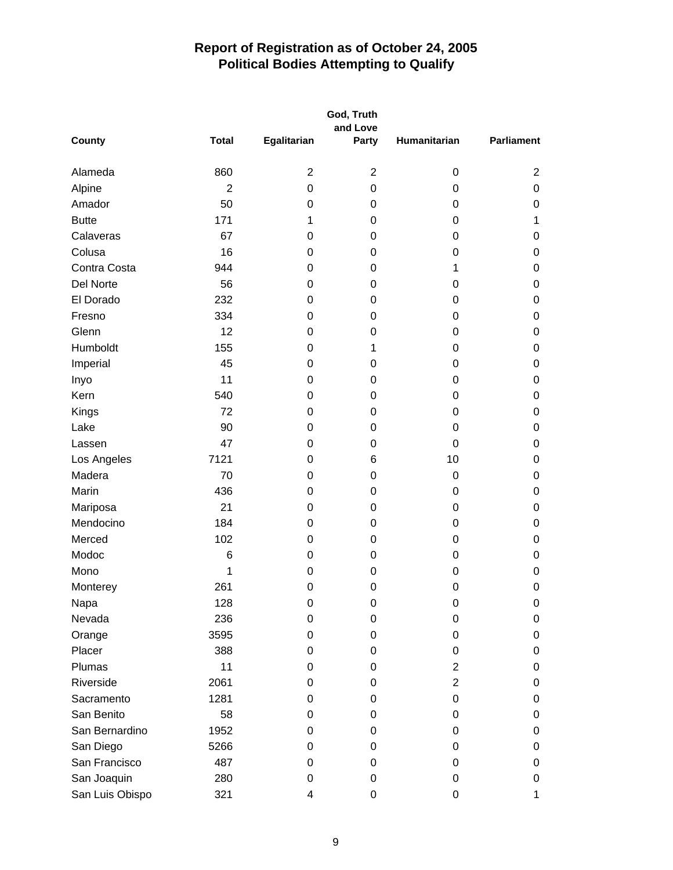|                 | God, Truth     |                |                   |                  |                   |  |
|-----------------|----------------|----------------|-------------------|------------------|-------------------|--|
| <b>County</b>   | <b>Total</b>   | Egalitarian    | and Love<br>Party | Humanitarian     | <b>Parliament</b> |  |
|                 |                |                |                   |                  |                   |  |
| Alameda         | 860            | $\overline{2}$ | $\overline{2}$    | 0                | $\overline{2}$    |  |
| Alpine          | $\overline{2}$ | 0              | $\boldsymbol{0}$  | $\boldsymbol{0}$ | 0                 |  |
| Amador          | 50             | 0              | 0                 | 0                | 0                 |  |
| <b>Butte</b>    | 171            | 1              | 0                 | 0                | 1                 |  |
| Calaveras       | 67             | 0              | 0                 | 0                | 0                 |  |
| Colusa          | 16             | 0              | 0                 | 0                | 0                 |  |
| Contra Costa    | 944            | 0              | $\boldsymbol{0}$  | 1                | 0                 |  |
| Del Norte       | 56             | 0              | 0                 | 0                | 0                 |  |
| El Dorado       | 232            | 0              | 0                 | 0                | 0                 |  |
| Fresno          | 334            | 0              | 0                 | 0                | 0                 |  |
| Glenn           | 12             | 0              | 0                 | 0                | 0                 |  |
| Humboldt        | 155            | 0              | 1                 | 0                | 0                 |  |
| Imperial        | 45             | 0              | 0                 | 0                | 0                 |  |
| Inyo            | 11             | 0              | 0                 | 0                | 0                 |  |
| Kern            | 540            | 0              | 0                 | 0                | 0                 |  |
| Kings           | 72             | 0              | 0                 | 0                | 0                 |  |
| Lake            | 90             | 0              | 0                 | 0                | 0                 |  |
| Lassen          | 47             | 0              | $\mathbf 0$       | 0                | 0                 |  |
| Los Angeles     | 7121           | 0              | 6                 | 10               | 0                 |  |
| Madera          | 70             | 0              | 0                 | $\boldsymbol{0}$ | 0                 |  |
| Marin           | 436            | 0              | $\mathbf 0$       | 0                | 0                 |  |
| Mariposa        | 21             | 0              | 0                 | 0                | 0                 |  |
| Mendocino       | 184            | 0              | 0                 | 0                | 0                 |  |
| Merced          | 102            | 0              | 0                 | 0                | 0                 |  |
| Modoc           | $\,6$          | 0              | 0                 | 0                | 0                 |  |
| Mono            | 1              | 0              | 0                 | $\mathbf 0$      | 0                 |  |
| Monterey        | 261            | 0              | $\mathbf 0$       | 0                | 0                 |  |
| Napa            | 128            | $\mathbf 0$    | $\boldsymbol{0}$  | $\Omega$         | <sup>n</sup>      |  |
| Nevada          | 236            | 0              | 0                 | 0                | 0                 |  |
| Orange          | 3595           | 0              | 0                 | 0                | 0                 |  |
| Placer          | 388            | 0              | 0                 | 0                | 0                 |  |
| Plumas          | 11             | 0              | 0                 | 2                | 0                 |  |
| Riverside       | 2061           | 0              | 0                 | $\overline{2}$   | 0                 |  |
| Sacramento      | 1281           | 0              | 0                 | 0                | 0                 |  |
| San Benito      | 58             | 0              | 0                 | 0                | 0                 |  |
| San Bernardino  | 1952           | 0              | 0                 | 0                | 0                 |  |
| San Diego       | 5266           | 0              | 0                 | 0                | 0                 |  |
| San Francisco   | 487            | 0              | 0                 | 0                | 0                 |  |
| San Joaquin     | 280            | 0              | 0                 | 0                | 0                 |  |
| San Luis Obispo | 321            | 4              | $\boldsymbol{0}$  | $\mathbf 0$      |                   |  |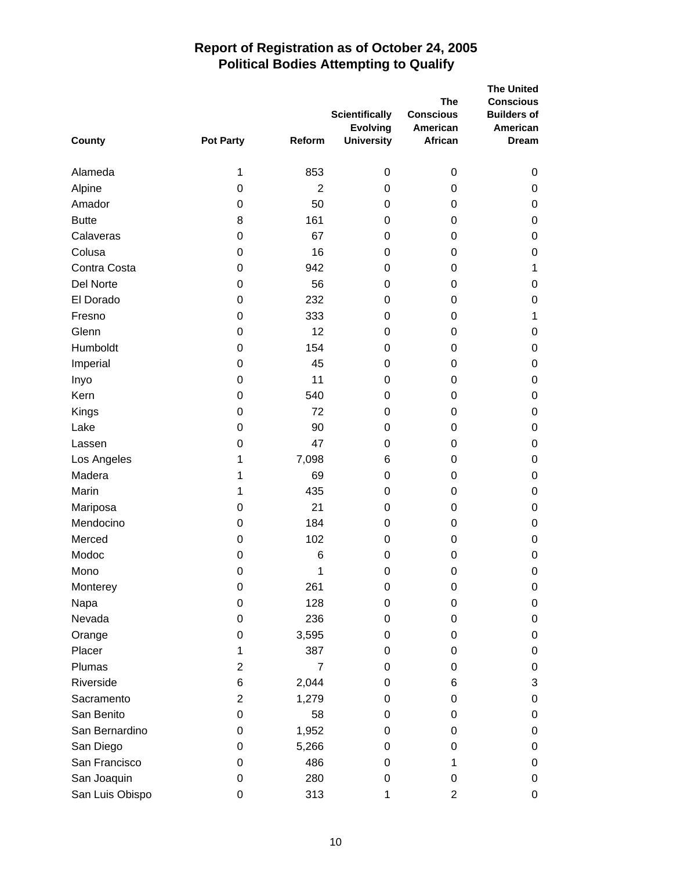| County          | <b>Pot Party</b> | Reform         | <b>Scientifically</b><br><b>Evolving</b><br><b>University</b> | <b>The</b><br><b>Conscious</b><br>American<br>African | <b>The United</b><br><b>Conscious</b><br><b>Builders of</b><br>American<br><b>Dream</b> |
|-----------------|------------------|----------------|---------------------------------------------------------------|-------------------------------------------------------|-----------------------------------------------------------------------------------------|
| Alameda         | 1                | 853            | 0                                                             | 0                                                     | 0                                                                                       |
| Alpine          | 0                | $\overline{2}$ | 0                                                             | 0                                                     | 0                                                                                       |
| Amador          | 0                | 50             | 0                                                             | 0                                                     | 0                                                                                       |
| <b>Butte</b>    | 8                | 161            | 0                                                             | 0                                                     | 0                                                                                       |
| Calaveras       | 0                | 67             | 0                                                             | 0                                                     | 0                                                                                       |
| Colusa          | 0                | 16             | 0                                                             | 0                                                     | 0                                                                                       |
| Contra Costa    | 0                | 942            | 0                                                             | 0                                                     | 1                                                                                       |
| Del Norte       | 0                | 56             | 0                                                             | 0                                                     | 0                                                                                       |
| El Dorado       | 0                | 232            | 0                                                             | 0                                                     | 0                                                                                       |
| Fresno          | 0                | 333            | 0                                                             | 0                                                     | 1                                                                                       |
| Glenn           | 0                | 12             | 0                                                             | 0                                                     | 0                                                                                       |
| Humboldt        | 0                | 154            | 0                                                             | 0                                                     | 0                                                                                       |
| Imperial        | 0                | 45             | 0                                                             | 0                                                     | 0                                                                                       |
| Inyo            | 0                | 11             | 0                                                             | 0                                                     | 0                                                                                       |
| Kern            | 0                | 540            | 0                                                             | 0                                                     | 0                                                                                       |
| Kings           | 0                | 72             | 0                                                             | 0                                                     | 0                                                                                       |
| Lake            | 0                | 90             | 0                                                             | 0                                                     | 0                                                                                       |
| Lassen          | 0                | 47             | 0                                                             | 0                                                     | 0                                                                                       |
| Los Angeles     | 1                | 7,098          | 6                                                             | 0                                                     | 0                                                                                       |
| Madera          | 1                | 69             | 0                                                             | 0                                                     | 0                                                                                       |
| Marin           | 1                | 435            | 0                                                             | 0                                                     | 0                                                                                       |
| Mariposa        | 0                | 21             | 0                                                             | 0                                                     | 0                                                                                       |
| Mendocino       | 0                | 184            | 0                                                             | 0                                                     | 0                                                                                       |
| Merced          | 0                | 102            | 0                                                             | 0                                                     | 0                                                                                       |
| Modoc           | 0                | 6              | 0                                                             | 0                                                     | 0                                                                                       |
| Mono            | $\mathbf 0$      | 1              | $\boldsymbol{0}$                                              | $\Omega$                                              | 0                                                                                       |
| Monterey        | 0                | 261            | 0                                                             | 0                                                     | 0                                                                                       |
| Napa            | 0                | 128            | 0                                                             | 0                                                     | 0                                                                                       |
| Nevada          | 0                | 236            | 0                                                             | 0                                                     | 0                                                                                       |
| Orange          | 0                | 3,595          | 0                                                             | 0                                                     | 0                                                                                       |
| Placer          | 1                | 387            | 0                                                             | 0                                                     | 0                                                                                       |
| Plumas          | 2                | $\overline{7}$ | 0                                                             | 0                                                     | 0                                                                                       |
| Riverside       | 6                | 2,044          | 0                                                             | 6                                                     | 3                                                                                       |
| Sacramento      | 2                | 1,279          | 0                                                             | 0                                                     | 0                                                                                       |
| San Benito      | 0                | 58             | 0                                                             | 0                                                     | 0                                                                                       |
| San Bernardino  | 0                | 1,952          | 0                                                             | 0                                                     | 0                                                                                       |
| San Diego       | 0                | 5,266          | 0                                                             | 0                                                     | 0                                                                                       |
| San Francisco   | 0                | 486            | 0                                                             | 1                                                     | 0                                                                                       |
| San Joaquin     | 0                | 280            | 0                                                             | 0                                                     | 0                                                                                       |
| San Luis Obispo | 0                | 313            | 1                                                             | 2                                                     | 0                                                                                       |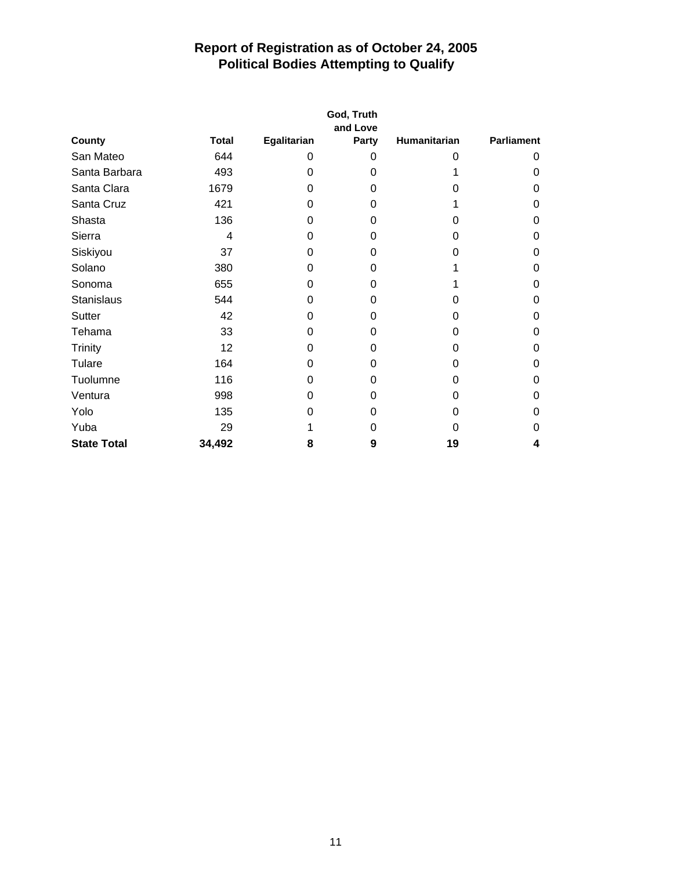| County             |              | God, Truth<br>and Love |       |              |                   |  |  |
|--------------------|--------------|------------------------|-------|--------------|-------------------|--|--|
|                    | <b>Total</b> | Egalitarian            | Party | Humanitarian | <b>Parliament</b> |  |  |
| San Mateo          | 644          | 0                      | 0     | 0            | 0                 |  |  |
| Santa Barbara      | 493          | 0                      | 0     |              | 0                 |  |  |
| Santa Clara        | 1679         | 0                      | 0     | 0            | 0                 |  |  |
| Santa Cruz         | 421          | 0                      | 0     |              | 0                 |  |  |
| Shasta             | 136          | 0                      | 0     | 0            | 0                 |  |  |
| Sierra             | 4            | 0                      | 0     | 0            | 0                 |  |  |
| Siskiyou           | 37           | 0                      | 0     | 0            | 0                 |  |  |
| Solano             | 380          | 0                      | 0     |              | 0                 |  |  |
| Sonoma             | 655          | 0                      | 0     |              | 0                 |  |  |
| <b>Stanislaus</b>  | 544          | 0                      | 0     | 0            | 0                 |  |  |
| Sutter             | 42           | 0                      | 0     | 0            | 0                 |  |  |
| Tehama             | 33           | 0                      | 0     | 0            | 0                 |  |  |
| Trinity            | 12           | 0                      | 0     | 0            | 0                 |  |  |
| Tulare             | 164          | 0                      | 0     | 0            | 0                 |  |  |
| Tuolumne           | 116          | 0                      | 0     | 0            | 0                 |  |  |
| Ventura            | 998          | 0                      | 0     | 0            | 0                 |  |  |
| Yolo               | 135          | 0                      | 0     | 0            | Ω                 |  |  |
| Yuba               | 29           |                        | 0     | 0            | Ω                 |  |  |
| <b>State Total</b> | 34,492       | 8                      | 9     | 19           | 4                 |  |  |